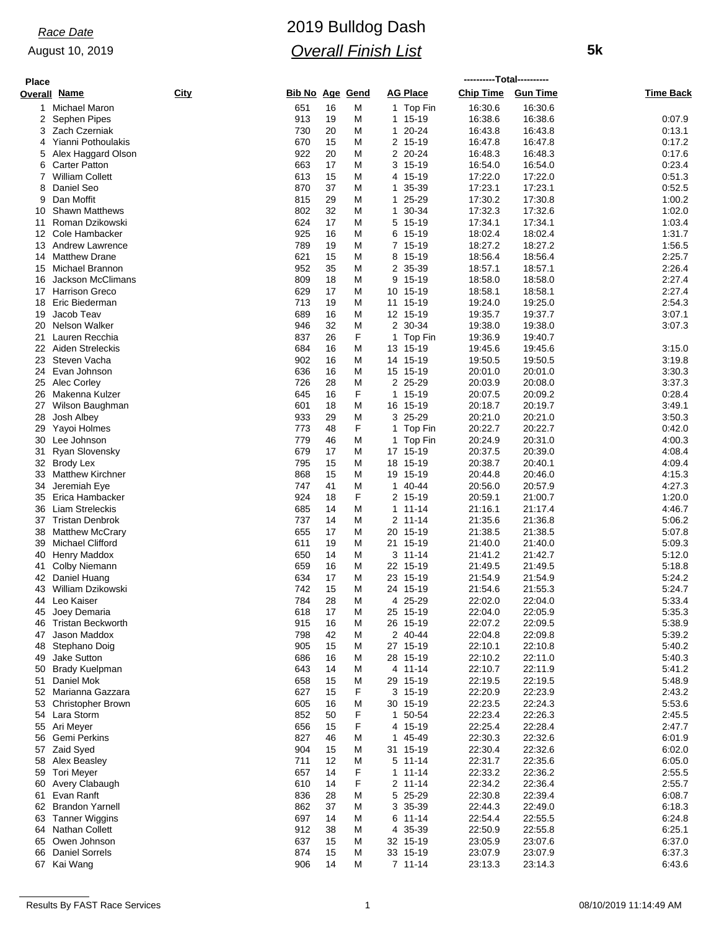## August 10, 2019

# 2019 Bulldog Dash *Overall Finish List*

 **5k**

| <b>Place</b> |                                           |                         |          |        |                          |                    |                    |                  |
|--------------|-------------------------------------------|-------------------------|----------|--------|--------------------------|--------------------|--------------------|------------------|
|              | Overall Name                              | City<br>Bib No Age Gend |          |        | <b>AG Place</b>          | <b>Chip Time</b>   | <b>Gun Time</b>    | <b>Time Back</b> |
| $\mathbf{1}$ | Michael Maron                             | 651                     | 16       | M      | 1 Top Fin                | 16:30.6            | 16:30.6            |                  |
| 2            | Sephen Pipes                              | 913                     | 19       | M      | 15-19<br>1               | 16:38.6            | 16:38.6            | 0:07.9           |
| 3            | Zach Czerniak                             | 730                     | 20       | M      | 20-24<br>1               | 16:43.8            | 16:43.8            | 0:13.1           |
| 4            | Yianni Pothoulakis                        | 670                     | 15       | M      | 2<br>15-19               | 16:47.8            | 16:47.8            | 0:17.2           |
| 5            | Alex Haggard Olson                        | 922                     | 20       | M      | 2<br>20-24               | 16:48.3            | 16:48.3            | 0.17.6           |
| 6            | <b>Carter Patton</b>                      | 663                     | 17       | M      | 3 15-19                  | 16:54.0            | 16:54.0            | 0:23.4           |
| 7            | <b>William Collett</b>                    | 613                     | 15       | M      | 15-19<br>4               | 17:22.0            | 17:22.0            | 0:51.3           |
| 8            | Daniel Seo                                | 870                     | 37       | M      | 35-39<br>1               | 17:23.1            | 17:23.1            | 0:52.5           |
| 9            | Dan Moffit                                | 815                     | 29       | M      | 25-29<br>1               | 17:30.2            | 17:30.8            | 1:00.2           |
| 10           | <b>Shawn Matthews</b>                     | 802                     | 32       | M      | 30-34<br>1               | 17:32.3            | 17:32.6            | 1:02.0           |
| 11           | Roman Dzikowski                           | 624                     | 17       | M      | 5 15-19                  | 17:34.1            | 17:34.1            | 1:03.4           |
| 12           | Cole Hambacker                            | 925                     | 16       | M      | 15-19<br>6               | 18:02.4            | 18:02.4            | 1:31.7           |
| 13           | <b>Andrew Lawrence</b>                    | 789                     | 19       | M      | 7 15-19                  | 18:27.2            | 18:27.2            | 1:56.5           |
| 14<br>15     | <b>Matthew Drane</b><br>Michael Brannon   | 621<br>952              | 15<br>35 | M<br>M | 15-19<br>8<br>2<br>35-39 | 18:56.4<br>18:57.1 | 18:56.4<br>18:57.1 | 2:25.7<br>2:26.4 |
| 16           | Jackson McClimans                         | 809                     | 18       | M      | 9<br>15-19               | 18:58.0            | 18:58.0            | 2:27.4           |
| 17           | <b>Harrison Greco</b>                     | 629                     | 17       | M      | 10 15-19                 | 18:58.1            | 18:58.1            | 2:27.4           |
| 18           | Eric Biederman                            | 713                     | 19       | M      | 15-19<br>11              | 19:24.0            | 19:25.0            | 2:54.3           |
| 19           | Jacob Teav                                | 689                     | 16       | M      | 12 15-19                 | 19:35.7            | 19:37.7            | 3:07.1           |
| 20           | <b>Nelson Walker</b>                      | 946                     | 32       | M      | 30-34<br>2               | 19:38.0            | 19:38.0            | 3:07.3           |
| 21           | Lauren Recchia                            | 837                     | 26       | F      | 1<br>Top Fin             | 19:36.9            | 19:40.7            |                  |
| 22           | Aiden Streleckis                          | 684                     | 16       | M      | 13 15-19                 | 19:45.6            | 19:45.6            | 3:15.0           |
| 23           | Steven Vacha                              | 902                     | 16       | M      | 14<br>15-19              | 19:50.5            | 19:50.5            | 3:19.8           |
| 24           | Evan Johnson                              | 636                     | 16       | M      | 15 15-19                 | 20:01.0            | 20:01.0            | 3:30.3           |
| 25           | Alec Corley                               | 726                     | 28       | M      | 25-29<br>2               | 20:03.9            | 20:08.0            | 3:37.3           |
| 26           | Makenna Kulzer                            | 645                     | 16       | F      | 1<br>15-19               | 20:07.5            | 20:09.2            | 0:28.4           |
| 27           | Wilson Baughman                           | 601                     | 18       | M      | 16 15-19                 | 20:18.7            | 20:19.7            | 3:49.1           |
| 28           | Josh Albey                                | 933                     | 29       | M      | 25-29<br>3               | 20:21.0            | 20:21.0            | 3:50.3           |
| 29           | Yayoi Holmes                              | 773                     | 48       | F      | Top Fin<br>1             | 20:22.7            | 20:22.7            | 0.42.0           |
| 30           | Lee Johnson                               | 779                     | 46       | M      | 1 Top Fin                | 20:24.9            | 20:31.0            | 4:00.3           |
| 31           | Ryan Slovensky                            | 679                     | 17       | M      | 17<br>15-19              | 20:37.5            | 20:39.0            | 4:08.4           |
|              | 32 Brody Lex                              | 795                     | 15       | M      | 15-19<br>18              | 20:38.7            | 20:40.1            | 4:09.4           |
| 33           | <b>Matthew Kirchner</b>                   | 868                     | 15       | M      | 19<br>15-19              | 20:44.8            | 20:46.0            | 4:15.3           |
| 34           | Jeremiah Eye                              | 747                     | 41       | M      | 40-44<br>1               | 20:56.0            | 20:57.9            | 4:27.3           |
| 35<br>36     | Erica Hambacker<br><b>Liam Streleckis</b> | 924<br>685              | 18<br>14 | F<br>M | 2 15-19<br>11-14<br>1    | 20:59.1<br>21:16.1 | 21:00.7<br>21:17.4 | 1:20.0<br>4:46.7 |
| 37           | <b>Tristan Denbrok</b>                    | 737                     | 14       | M      | 2<br>11-14               | 21:35.6            | 21:36.8            | 5:06.2           |
| 38           | <b>Matthew McCrary</b>                    | 655                     | 17       | M      | 20 15-19                 | 21:38.5            | 21:38.5            | 5:07.8           |
| 39           | <b>Michael Clifford</b>                   | 611                     | 19       | M      | 15-19<br>21              | 21:40.0            | 21:40.0            | 5:09.3           |
| 40           | <b>Henry Maddox</b>                       | 650                     | 14       | M      | $3 \t11-14$              | 21:41.2            | 21:42.7            | 5:12.0           |
| 41           | Colby Niemann                             | 659                     | 16       | M      | 22 15-19                 | 21:49.5            | 21:49.5            | 5:18.8           |
| 42           | Daniel Huang                              | 634                     | 17       | M      | 23<br>15-19              | 21:54.9            | 21:54.9            | 5:24.2           |
|              | 43 William Dzikowski                      | 742                     | 15       | М      | 24 15-19                 | 21:54.6            | 21:55.3            | 5:24.7           |
|              | 44 Leo Kaiser                             | 784                     | 28       | M      | 4 25-29                  | 22:02.0            | 22:04.0            | 5:33.4           |
| 45           | Joey Demaria                              | 618                     | 17       | M      | 25 15-19                 | 22:04.0            | 22:05.9            | 5:35.3           |
| 46           | <b>Tristan Beckworth</b>                  | 915                     | 16       | M      | 26 15-19                 | 22:07.2            | 22:09.5            | 5:38.9           |
| 47           | Jason Maddox                              | 798                     | 42       | M      | 40-44<br>2               | 22:04.8            | 22:09.8            | 5:39.2           |
| 48           | Stephano Doig                             | 905                     | 15       | M      | 27 15-19                 | 22:10.1            | 22:10.8            | 5:40.2           |
| 49           | Jake Sutton                               | 686                     | 16       | M      | 28 15-19                 | 22:10.2            | 22:11.0            | 5:40.3           |
| 50           | <b>Brady Kuelpman</b>                     | 643                     | 14       | M      | $11 - 14$<br>4           | 22:10.7            | 22:11.9            | 5:41.2           |
| 51           | Daniel Mok                                | 658                     | 15       | M      | 29 15-19                 | 22:19.5            | 22:19.5            | 5:48.9           |
| 52           | Marianna Gazzara                          | 627                     | 15       | F      | 3 15-19                  | 22:20.9            | 22:23.9            | 2:43.2           |
| 53           | <b>Christopher Brown</b>                  | 605                     | 16       | M      | 30 15-19                 | 22:23.5            | 22:24.3            | 5:53.6           |
|              | 54 Lara Storm                             | 852                     | 50       | F      | 1 50-54                  | 22:23.4            | 22:26.3            | 2:45.5           |
| 55           | Ari Meyer                                 | 656                     | 15       | F      | 15-19<br>4               | 22:25.4            | 22:28.4            | 2:47.7           |
| 56           | Gemi Perkins<br>57 Zaid Syed              | 827<br>904              | 46<br>15 | M<br>M | 45-49<br>1<br>31 15-19   | 22:30.3<br>22:30.4 | 22:32.6<br>22:32.6 | 6:01.9<br>6:02.0 |
| 58           | Alex Beasley                              | 711                     | 12       | M      | $11 - 14$<br>5           | 22:31.7            | 22:35.6            | 6:05.0           |
|              | 59 Tori Meyer                             | 657                     | 14       | F      | $11 - 14$<br>1           | 22:33.2            | 22:36.2            | 2:55.5           |
| 60           | Avery Clabaugh                            | 610                     | 14       | F      | 2<br>11-14               | 22:34.2            | 22:36.4            | 2:55.7           |
| 61           | Evan Ranft                                | 836                     | 28       | M      | 5<br>25-29               | 22:30.8            | 22:39.4            | 6:08.7           |
|              | 62 Brandon Yarnell                        | 862                     | 37       | M      | 3 35-39                  | 22:44.3            | 22:49.0            | 6:18.3           |
| 63           | <b>Tanner Wiggins</b>                     | 697                     | 14       | M      | $11 - 14$<br>6           | 22:54.4            | 22:55.5            | 6:24.8           |
| 64           | Nathan Collett                            | 912                     | 38       | M      | 35-39<br>4               | 22:50.9            | 22:55.8            | 6.25.1           |
| 65           | Owen Johnson                              | 637                     | 15       | M      | 32 15-19                 | 23:05.9            | 23:07.6            | 6:37.0           |
| 66           | <b>Daniel Sorrels</b>                     | 874                     | 15       | M      | 33 15-19                 | 23:07.9            | 23:07.9            | 6:37.3           |
|              | 67 Kai Wang                               | 906                     | 14       | M      | $7 11 - 14$              | 23:13.3            | 23:14.3            | 6:43.6           |
|              |                                           |                         |          |        |                          |                    |                    |                  |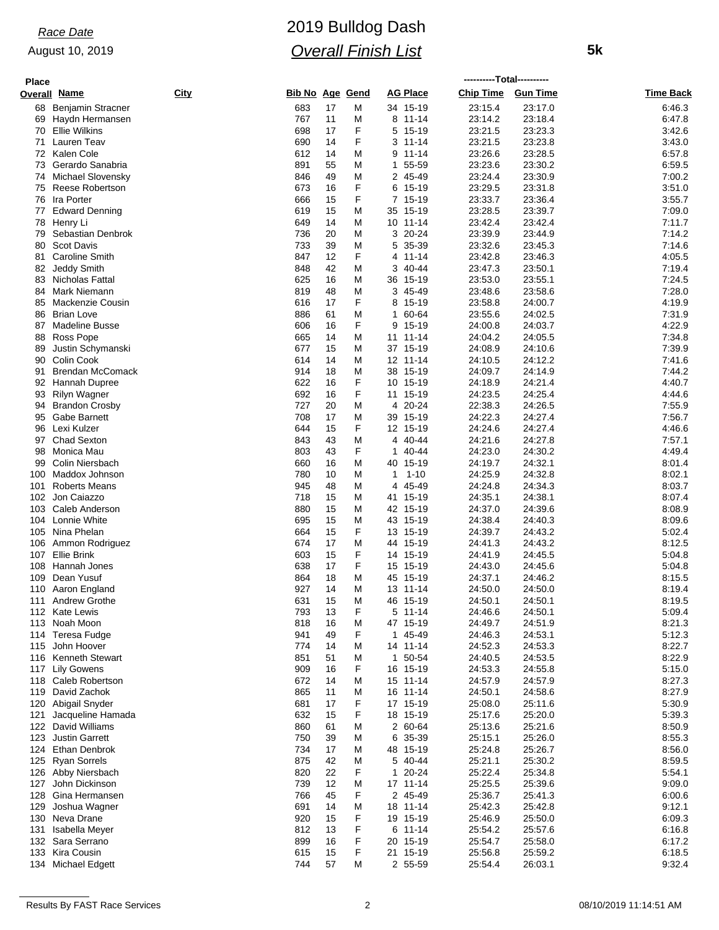## August 10, 2019

# 2019 Bulldog Dash *Overall Finish List*

 **5k**

| <b>Place</b> |                                            |      |                 |          |        |                        | ----------Total---------- |                    |                  |
|--------------|--------------------------------------------|------|-----------------|----------|--------|------------------------|---------------------------|--------------------|------------------|
|              | Overall <u>Name</u>                        | City | Bib No Age Gend |          |        | <b>AG Place</b>        | Chip Time Gun Time        |                    | <b>Time Back</b> |
| 68           | <b>Benjamin Stracner</b>                   |      | 683             | 17       | M      | 34 15-19               | 23:15.4                   | 23:17.0            | 6:46.3           |
|              | 69 Haydn Hermansen                         |      | 767             | 11       | M      | 8 11-14                | 23:14.2                   | 23:18.4            | 6:47.8           |
| 70           | <b>Ellie Wilkins</b>                       |      | 698             | 17       | F      | 5<br>15-19             | 23:21.5                   | 23:23.3            | 3:42.6           |
| 71           | Lauren Teav                                |      | 690             | 14       | F      | 3<br>11-14             | 23:21.5                   | 23:23.8            | 3:43.0           |
|              | 72 Kalen Cole                              |      | 612             | 14       | Μ      | 9<br>11-14             | 23:26.6                   | 23:28.5            | 6:57.8           |
| 73           | Gerardo Sanabria                           |      | 891             | 55       | M      | 1<br>55-59             | 23:23.6                   | 23:30.2            | 6:59.5           |
|              | 74 Michael Slovensky                       |      | 846             | 49       | M      | 2 45-49                | 23:24.4                   | 23:30.9            | 7:00.2           |
| 75           | Reese Robertson                            |      | 673             | 16       | F      | 6<br>15-19             | 23:29.5                   | 23:31.8            | 3:51.0           |
| 76           | Ira Porter                                 |      | 666             | 15       | F      | 7 15-19                | 23:33.7                   | 23:36.4            | 3:55.7           |
| 77           | <b>Edward Denning</b>                      |      | 619             | 15       | M      | 35 15-19               | 23:28.5                   | 23:39.7            | 7:09.0           |
| 78<br>79     | Henry Li                                   |      | 649<br>736      | 14<br>20 | M<br>M | 10 11-14<br>20-24<br>3 | 23:42.4<br>23:39.9        | 23:42.4<br>23:44.9 | 7:11.7<br>7:14.2 |
| 80           | Sebastian Denbrok<br><b>Scot Davis</b>     |      | 733             | 39       | M      | 35-39<br>5             | 23:32.6                   | 23:45.3            | 7:14.6           |
| 81           | <b>Caroline Smith</b>                      |      | 847             | 12       | F      | $11 - 14$<br>4         | 23:42.8                   | 23:46.3            | 4:05.5           |
| 82           | Jeddy Smith                                |      | 848             | 42       | M      | 40-44<br>3             | 23:47.3                   | 23:50.1            | 7:19.4           |
| 83           | Nicholas Fattal                            |      | 625             | 16       | M      | 36 15-19               | 23:53.0                   | 23:55.1            | 7:24.5           |
| 84           | Mark Niemann                               |      | 819             | 48       | M      | 3 45-49                | 23:48.6                   | 23:58.6            | 7:28.0           |
| 85           | Mackenzie Cousin                           |      | 616             | 17       | F      | 15-19<br>8             | 23:58.8                   | 24:00.7            | 4:19.9           |
| 86           | <b>Brian Love</b>                          |      | 886             | 61       | Μ      | 60-64<br>1             | 23:55.6                   | 24:02.5            | 7:31.9           |
| 87           | <b>Madeline Busse</b>                      |      | 606             | 16       | F      | 15-19<br>9             | 24:00.8                   | 24:03.7            | 4:22.9           |
| 88           | Ross Pope                                  |      | 665             | 14       | Μ      | 11 11-14               | 24:04.2                   | 24:05.5            | 7:34.8           |
| 89           | Justin Schymanski                          |      | 677             | 15       | M      | 37 15-19               | 24:08.9                   | 24:10.6            | 7:39.9           |
| 90           | Colin Cook                                 |      | 614             | 14       | M      | 12 11-14               | 24:10.5                   | 24:12.2            | 7:41.6           |
| 91           | <b>Brendan McComack</b>                    |      | 914             | 18       | M      | 38 15-19               | 24:09.7                   | 24:14.9            | 7:44.2           |
| 92           | Hannah Dupree                              |      | 622             | 16       | F      | 10<br>15-19            | 24:18.9                   | 24:21.4            | 4:40.7           |
| 93           | Rilyn Wagner                               |      | 692             | 16       | F      | 11 15-19               | 24.23.5                   | 24:25.4            | 4:44.6           |
|              | 94 Brandon Crosby                          |      | 727             | 20       | M      | 20-24<br>4             | 22:38.3                   | 24:26.5            | 7:55.9           |
| 95           | Gabe Barnett                               |      | 708             | 17       | M      | 15-19<br>39            | 24:22.3                   | 24:27.4            | 7:56.7           |
| 96           | Lexi Kulzer                                |      | 644             | 15       | F      | 12 15-19               | 24:24.6                   | 24:27.4            | 4:46.6           |
| 97           | <b>Chad Sexton</b>                         |      | 843             | 43       | M      | 40-44<br>4             | 24:21.6                   | 24:27.8            | 7:57.1           |
| 98           | Monica Mau                                 |      | 803             | 43       | F      | 40-44<br>1             | 24:23.0                   | 24:30.2            | 4:49.4           |
| 99           | Colin Niersbach                            |      | 660             | 16       | M      | 40 15-19               | 24:19.7                   | 24:32.1            | 8:01.4           |
| 100          | Maddox Johnson                             |      | 780             | 10       | M      | $1 - 10$<br>1          | 24:25.9                   | 24:32.8            | 8:02.1           |
| 101<br>102   | <b>Roberts Means</b><br>Jon Caiazzo        |      | 945<br>718      | 48<br>15 | M<br>M | 4 45-49                | 24:24.8                   | 24:34.3<br>24:38.1 | 8:03.7<br>8:07.4 |
| 103          | Caleb Anderson                             |      | 880             | 15       | M      | 41 15-19<br>42 15-19   | 24:35.1<br>24:37.0        | 24:39.6            | 8:08.9           |
| 104          | Lonnie White                               |      | 695             | 15       | Μ      | 43 15-19               | 24:38.4                   | 24:40.3            | 8:09.6           |
| 105          | Nina Phelan                                |      | 664             | 15       | F      | 13 15-19               | 24:39.7                   | 24:43.2            | 5:02.4           |
| 106          | Ammon Rodriguez                            |      | 674             | 17       | Μ      | 44 15-19               | 24:41.3                   | 24:43.2            | 8:12.5           |
| 107          | <b>Ellie Brink</b>                         |      | 603             | 15       | F      | 14 15-19               | 24:41.9                   | 24:45.5            | 5:04.8           |
| 108          | Hannah Jones                               |      | 638             | 17       | F      | 15 15-19               | 24:43.0                   | 24:45.6            | 5:04.8           |
| 109          | Dean Yusuf                                 |      | 864             | 18       | М      | 45 15-19               | 24:37.1                   | 24:46.2            | 8:15.5           |
| 110          | Aaron England                              |      | 927             | 14       | M      | 13 11-14               | 24:50.0                   | 24:50.0            | 8:19.4           |
|              | 111 Andrew Grothe                          |      | 631             | 15       | M      | 46 15-19               | 24:50.1                   | 24:50.1            | 8:19.5           |
|              | 112 Kate Lewis                             |      | 793             | 13       | F      | 5 11-14                | 24:46.6                   | 24:50.1            | 5:09.4           |
|              | 113 Noah Moon                              |      | 818             | 16       | M      | 47 15-19               | 24:49.7                   | 24:51.9            | 8:21.3           |
|              | 114 Teresa Fudge                           |      | 941             | 49       | F      | 1 45-49                | 24:46.3                   | 24:53.1            | 5:12.3           |
| 115          | John Hoover                                |      | 774             | 14       | Μ      | 14 11-14               | 24:52.3                   | 24:53.3            | 8:22.7           |
| 116          | <b>Kenneth Stewart</b>                     |      | 851             | 51       | Μ      | 50-54<br>1             | 24:40.5                   | 24:53.5            | 8:22.9           |
|              | 117 Lily Gowens                            |      | 909             | 16       | F      | 16 15-19               | 24:53.3                   | 24:55.8            | 5:15.0           |
| 118          | Caleb Robertson                            |      | 672             | 14       | M      | 15 11-14               | 24:57.9                   | 24:57.9            | 8:27.3           |
| 119          | David Zachok                               |      | 865             | 11       | M      | 16 11-14               | 24:50.1                   | 24:58.6            | 8:27.9           |
| 120          | Abigail Snyder                             |      | 681             | 17       | F      | 17 15-19               | 25:08.0                   | 25:11.6            | 5:30.9           |
| 121          | Jacqueline Hamada                          |      | 632             | 15       | F      | 18 15-19               | 25:17.6                   | 25:20.0            | 5:39.3           |
|              | 122 David Williams                         |      | 860             | 61       | М      | 2 60-64                | 25:13.6                   | 25:21.6            | 8:50.9<br>8:55.3 |
|              | 123 Justin Garrett<br><b>Ethan Denbrok</b> |      | 750<br>734      | 39<br>17 | M      | 35-39<br>6.            | 25:15.1<br>25:24.8        | 25:26.0            |                  |
| 124          | 125 Ryan Sorrels                           |      | 875             | 42       | M<br>M | 48 15-19<br>5 40-44    | 25:21.1                   | 25:26.7<br>25:30.2 | 8:56.0<br>8:59.5 |
| 126          | Abby Niersbach                             |      | 820             | 22       | F      | 20-24<br>1             | 25:22.4                   | 25:34.8            | 5:54.1           |
| 127          | John Dickinson                             |      | 739             | 12       | Μ      | 17 11-14               | 25:25.5                   | 25:39.6            | 9:09.0           |
| 128          | Gina Hermansen                             |      | 766             | 45       | F      | 2 45-49                | 25:36.7                   | 25:41.3            | 6:00.6           |
| 129          | Joshua Wagner                              |      | 691             | 14       | Μ      | 18 11-14               | 25:42.3                   | 25:42.8            | 9:12.1           |
| 130          | Neva Drane                                 |      | 920             | 15       | F      | 19 15-19               | 25:46.9                   | 25:50.0            | 6:09.3           |
| 131          | Isabella Meyer                             |      | 812             | 13       | F      | 11-14<br>6             | 25:54.2                   | 25:57.6            | 6:16.8           |
|              | 132 Sara Serrano                           |      | 899             | 16       | F      | 20 15-19               | 25:54.7                   | 25:58.0            | 6:17.2           |
|              | 133 Kira Cousin                            |      | 615             | 15       | F      | 21 15-19               | 25:56.8                   | 25:59.2            | 6:18.5           |
|              | 134 Michael Edgett                         |      | 744             | 57       | М      | 2 55-59                | 25:54.4                   | 26:03.1            | 9:32.4           |
|              |                                            |      |                 |          |        |                        |                           |                    |                  |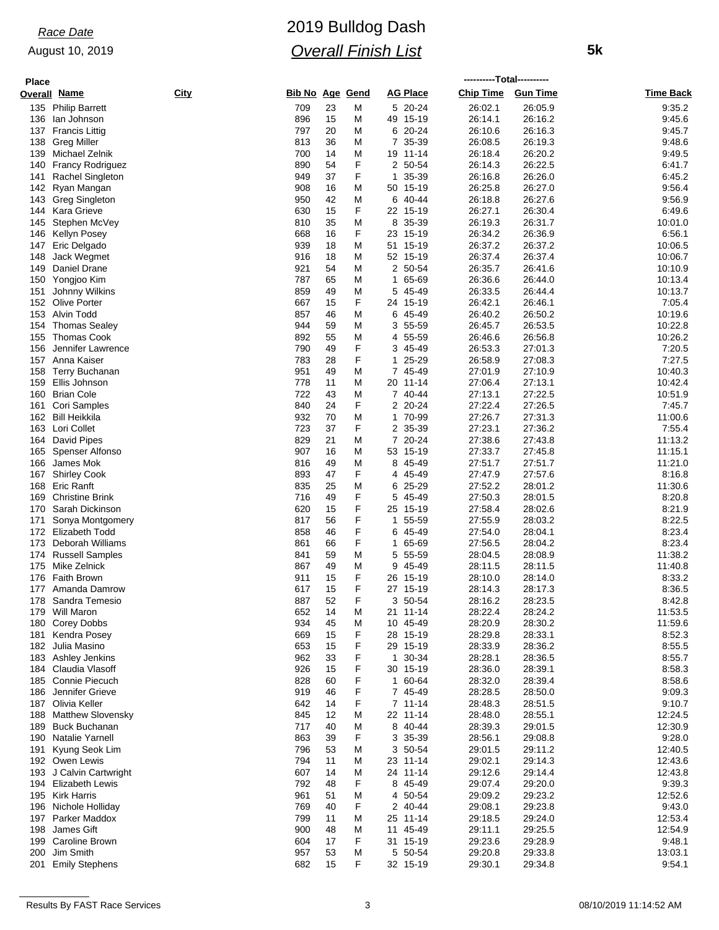## August 10, 2019

# 2019 Bulldog Dash *Overall Finish List*

 **5k**

| <b>Place</b> |                          |             |                 |    |   |                 | ----------Total---------- |                 |                  |
|--------------|--------------------------|-------------|-----------------|----|---|-----------------|---------------------------|-----------------|------------------|
|              | <b>Overall Name</b>      | <u>City</u> | Bib No Age Gend |    |   | <b>AG Place</b> | <b>Chip Time</b>          | <b>Gun Time</b> | <b>Time Back</b> |
| 135          | <b>Philip Barrett</b>    |             | 709             | 23 | M | 5 20-24         | 26:02.1                   | 26:05.9         | 9:35.2           |
| 136          | lan Johnson              |             | 896             | 15 | M | 49 15-19        | 26:14.1                   | 26:16.2         | 9:45.6           |
| 137          | <b>Francis Littig</b>    |             | 797             | 20 | M | 20-24<br>6      | 26:10.6                   | 26:16.3         | 9:45.7           |
| 138          | <b>Greg Miller</b>       |             | 813             | 36 | M | 7<br>35-39      | 26:08.5                   | 26:19.3         | 9:48.6           |
| 139          | Michael Zelnik           |             | 700             | 14 | M | 19 11-14        | 26:18.4                   | 26:20.2         | 9:49.5           |
| 140          | <b>Francy Rodriguez</b>  |             | 890             | 54 | F | 2 50-54         | 26:14.3                   | 26:22.5         | 6:41.7           |
| 141          | Rachel Singleton         |             | 949             | 37 | F | 35-39<br>1      | 26:16.8                   | 26:26.0         | 6:45.2           |
| 142          | Ryan Mangan              |             | 908             | 16 | M | 50 15-19        | 26:25.8                   | 26:27.0         | 9.56.4           |
| 143          | <b>Greg Singleton</b>    |             | 950             | 42 | M | 40-44<br>6      | 26:18.8                   | 26:27.6         | 9:56.9           |
| 144          | Kara Grieve              |             | 630             | 15 | F | 22 15-19        | 26:27.1                   | 26:30.4         | 6:49.6           |
| 145          | Stephen McVey            |             | 810             | 35 | М | 35-39<br>8      | 26:19.3                   | 26:31.7         | 10:01.0          |
| 146          | <b>Kellyn Posey</b>      |             | 668             | 16 | F | 23 15-19        | 26:34.2                   | 26:36.9         | 6:56.1           |
| 147          | Eric Delgado             |             | 939             | 18 | M | 51 15-19        | 26:37.2                   | 26:37.2         | 10:06.5          |
| 148          | Jack Wegmet              |             | 916             | 18 | M | 52 15-19        | 26:37.4                   | 26:37.4         | 10:06.7          |
| 149          | Daniel Drane             |             | 921             | 54 | M | 2 50-54         | 26:35.7                   | 26:41.6         | 10:10.9          |
| 150          | Yongjoo Kim              |             | 787             | 65 | M | 65-69<br>1      | 26:36.6                   | 26:44.0         | 10:13.4          |
| 151          | Johnny Wilkins           |             | 859             | 49 | M | 45-49<br>5      | 26:33.5                   | 26:44.4         | 10:13.7          |
| 152          | Olive Porter             |             | 667             | 15 | F | 24 15-19        | 26:42.1                   | 26:46.1         | 7:05.4           |
| 153          | Alvin Todd               |             | 857             | 46 | М | 6<br>45-49      | 26:40.2                   | 26:50.2         | 10:19.6          |
| 154          | <b>Thomas Sealey</b>     |             | 944             | 59 | M | 3 55-59         | 26:45.7                   | 26:53.5         | 10:22.8          |
| 155          | <b>Thomas Cook</b>       |             | 892             | 55 | M | 55-59<br>4      | 26:46.6                   | 26:56.8         | 10:26.2          |
| 156          | Jennifer Lawrence        |             | 790             | 49 | F | 3<br>45-49      | 26:53.3                   | 27:01.3         | 7:20.5           |
| 157          | Anna Kaiser              |             | 783             | 28 | F | 25-29<br>1      | 26:58.9                   | 27:08.3         | 7:27.5           |
| 158          | <b>Terry Buchanan</b>    |             | 951             | 49 | M | 7<br>45-49      | 27:01.9                   | 27:10.9         | 10:40.3          |
| 159          | Ellis Johnson            |             | 778             | 11 | M | 20 11-14        | 27:06.4                   | 27:13.1         | 10:42.4          |
| 160          | <b>Brian Cole</b>        |             | 722             | 43 | M | 7 40-44         | 27:13.1                   | 27:22.5         | 10:51.9          |
| 161          | Cori Samples             |             | 840             | 24 | F | 20-24<br>2      | 27:22.4                   | 27:26.5         | 7:45.7           |
| 162          | Bill Heikkila            |             | 932             | 70 | M | 70-99<br>1.     | 27:26.7                   | 27:31.3         | 11:00.6          |
| 163          | Lori Collet              |             | 723             | 37 | F | 35-39<br>2      | 27:23.1                   | 27:36.2         | 7:55.4           |
| 164          | David Pipes              |             | 829             | 21 | M | 7<br>20-24      | 27:38.6                   | 27:43.8         | 11:13.2          |
| 165          | Spenser Alfonso          |             | 907             | 16 | M | 53 15-19        | 27:33.7                   | 27:45.8         | 11:15.1          |
| 166          | James Mok                |             | 816             | 49 | M | 8<br>45-49      | 27:51.7                   | 27:51.7         | 11:21.0          |
| 167          | Shirley Cook             |             | 893             | 47 | F | 45-49<br>4      | 27:47.9                   | 27:57.6         | 8:16.8           |
| 168          | Eric Ranft               |             | 835             | 25 | M | 6<br>25-29      | 27:52.2                   | 28:01.2         | 11:30.6          |
| 169          | <b>Christine Brink</b>   |             | 716             | 49 | F | 5<br>45-49      | 27:50.3                   | 28:01.5         | 8:20.8           |
| 170          | Sarah Dickinson          |             | 620             | 15 | F | 25 15-19        | 27:58.4                   | 28:02.6         | 8:21.9           |
| 171          | Sonya Montgomery         |             | 817             | 56 | F | 55-59<br>1      | 27:55.9                   | 28:03.2         | 8:22.5           |
| 172          | <b>Elizabeth Todd</b>    |             | 858             | 46 | F | 45-49<br>6      | 27:54.0                   | 28:04.1         | 8.23.4           |
| 173          | Deborah Williams         |             | 861             | 66 | F | 65-69<br>1      | 27:56.5                   | 28:04.2         | 8:23.4           |
| 174          | <b>Russell Samples</b>   |             | 841             | 59 | M | 5<br>55-59      | 28:04.5                   | 28:08.9         | 11:38.2          |
| 175          | Mike Zelnick             |             | 867             | 49 | M | 45-49<br>9      | 28:11.5                   | 28:11.5         | 11:40.8          |
| 176          | <b>Faith Brown</b>       |             | 911             | 15 | F | 26 15-19        | 28:10.0                   | 28:14.0         | 8:33.2           |
| 177          | Amanda Damrow            |             | 617             | 15 | F | 27 15-19        | 28:14.3                   | 28:17.3         | 8:36.5           |
|              | 178 Sandra Temesio       |             | 887             | 52 | F | 3 50-54         | 28:16.2                   | 28:23.5         | 8:42.8           |
|              | 179 Will Maron           |             | 652             | 14 | M | 21 11-14        | 28:22.4                   | 28:24.2         | 11:53.5          |
| 180          | <b>Corey Dobbs</b>       |             | 934             | 45 | M | 10 45-49        | 28:20.9                   | 28:30.2         | 11:59.6          |
| 181          | Kendra Posey             |             | 669             | 15 | F | 28 15-19        | 28:29.8                   | 28:33.1         | 8:52.3           |
| 182          | Julia Masino             |             | 653             | 15 | F | 29 15-19        | 28:33.9                   | 28:36.2         | 8:55.5           |
| 183          | Ashley Jenkins           |             | 962             | 33 | F | 30-34<br>1      | 28:28.1                   | 28:36.5         | 8:55.7           |
|              | 184 Claudia Vlasoff      |             | 926             | 15 | F | 30 15-19        | 28:36.0                   | 28:39.1         | 8:58.3           |
| 185          | Connie Piecuch           |             | 828             | 60 | F | 1 60-64         | 28:32.0                   | 28:39.4         | 8:58.6           |
| 186          | Jennifer Grieve          |             | 919             | 46 | F | 7 45-49         | 28:28.5                   | 28:50.0         | 9:09.3           |
|              | 187 Olivia Keller        |             | 642             | 14 | F | 7 11-14         | 28:48.3                   | 28:51.5         | 9:10.7           |
| 188          | <b>Matthew Slovensky</b> |             | 845             | 12 | M | 22 11-14        | 28:48.0                   | 28:55.1         | 12:24.5          |
| 189          | Buck Buchanan            |             | 717             | 40 | M | 8 40-44         | 28:39.3                   | 29:01.5         | 12:30.9          |
|              | 190 Natalie Yarnell      |             | 863             | 39 | F | 3 35-39         | 28:56.1                   | 29:08.8         | 9:28.0           |
| 191          | Kyung Seok Lim           |             | 796             | 53 | M | 3 50-54         | 29:01.5                   | 29:11.2         | 12:40.5          |
|              | 192 Owen Lewis           |             | 794             | 11 | M | 23 11-14        | 29:02.1                   | 29:14.3         | 12:43.6          |
|              | 193 J Calvin Cartwright  |             | 607             | 14 | M | 24 11-14        | 29:12.6                   | 29:14.4         | 12:43.8          |
|              | 194 Elizabeth Lewis      |             | 792             | 48 | F | 8 45-49         | 29:07.4                   | 29:20.0         | 9:39.3           |
|              | 195 Kirk Harris          |             | 961             | 51 | M | 4 50-54         | 29:09.2                   | 29:23.2         | 12:52.6          |
| 196          | Nichole Holliday         |             | 769             | 40 | F | 2 40-44         | 29:08.1                   | 29:23.8         | 9:43.0           |
|              | 197 Parker Maddox        |             | 799             | 11 | M | 25 11-14        | 29:18.5                   | 29:24.0         | 12:53.4          |
| 198          | James Gift               |             | 900             | 48 | M | 45-49<br>11     | 29:11.1                   | 29:25.5         | 12:54.9          |
| 199          | <b>Caroline Brown</b>    |             | 604             | 17 | F | 31 15-19        | 29:23.6                   | 29:28.9         | 9:48.1           |
| 200          | Jim Smith                |             | 957             | 53 | M | 5 50-54         | 29:20.8                   | 29:33.8         | 13:03.1          |
|              | 201 Emily Stephens       |             | 682             | 15 | F | 32 15-19        | 29:30.1                   | 29:34.8         | 9:54.1           |
|              |                          |             |                 |    |   |                 |                           |                 |                  |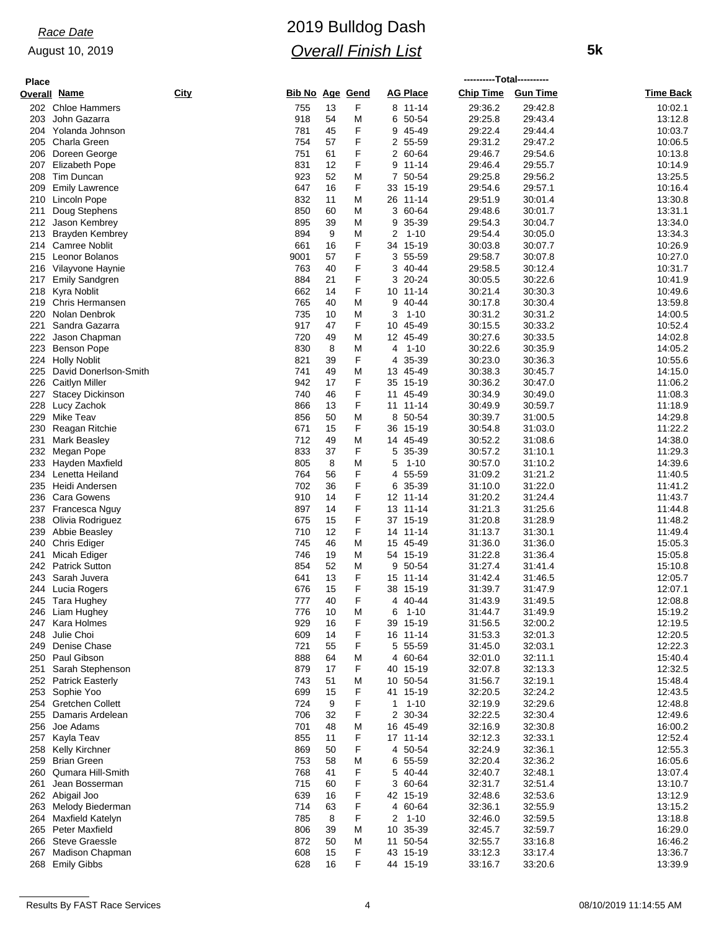#### August 10, 2019

# 2019 Bulldog Dash *Overall Finish List*

 **5k**

| <b>Place</b> | ----------Total---------- |             |                        |    |   |                 |                  |                 |           |
|--------------|---------------------------|-------------|------------------------|----|---|-----------------|------------------|-----------------|-----------|
|              | <b>Overall Name</b>       | <b>City</b> | <b>Bib No Age Gend</b> |    |   | <b>AG Place</b> | <b>Chip Time</b> | <b>Gun Time</b> | Time Back |
| 202          | <b>Chloe Hammers</b>      |             | 755                    | 13 | F | 8 11-14         | 29:36.2          | 29:42.8         | 10:02.1   |
| 203          | John Gazarra              |             | 918                    | 54 | M | 50-54<br>6      | 29:25.8          | 29:43.4         | 13:12.8   |
| 204          | Yolanda Johnson           |             | 781                    | 45 | F | 9<br>45-49      | 29.22.4          | 29:44.4         | 10:03.7   |
| 205          | Charla Green              |             | 754                    | 57 | F | 2 55-59         | 29:31.2          | 29:47.2         | 10:06.5   |
| 206          | Doreen George             |             | 751                    | 61 | F | 2<br>60-64      | 29:46.7          | 29:54.6         | 10:13.8   |
| 207          | Elizabeth Pope            |             | 831                    | 12 | F | 9<br>$11 - 14$  | 29:46.4          | 29:55.7         | 10:14.9   |
| 208          | Tim Duncan                |             | 923                    | 52 | M | 7 50-54         | 29:25.8          | 29:56.2         | 13:25.5   |
| 209          | <b>Emily Lawrence</b>     |             | 647                    | 16 | F | 33<br>15-19     | 29.54.6          | 29:57.1         | 10:16.4   |
| 210          | Lincoln Pope              |             | 832                    | 11 | M | $11 - 14$<br>26 | 29.51.9          | 30:01.4         | 13:30.8   |
| 211          | Doug Stephens             |             | 850                    | 60 | M | 3 60-64         | 29:48.6          | 30:01.7         | 13:31.1   |
| 212          | Jason Kembrey             |             | 895                    | 39 | M | 9<br>35-39      | 29.54.3          | 30:04.7         | 13:34.0   |
| 213          | Brayden Kembrey           |             | 894                    | 9  | M | 2<br>$1 - 10$   | 29:54.4          | 30:05.0         | 13:34.3   |
| 214          | <b>Camree Noblit</b>      |             | 661                    | 16 | F | 15-19<br>34     | 30:03.8          | 30:07.7         | 10:26.9   |
| 215          | Leonor Bolanos            |             | 9001                   | 57 | F | 3<br>55-59      | 29:58.7          | 30:07.8         | 10:27.0   |
|              | 216 Vilayvone Haynie      |             | 763                    | 40 | F | 40-44<br>3      | 29.58.5          | 30:12.4         | 10:31.7   |
| 217          | <b>Emily Sandgren</b>     |             | 884                    | 21 | F | $20 - 24$<br>3  | 30:05.5          | 30:22.6         | 10:41.9   |
| 218          | Kyra Noblit               |             | 662                    | 14 | F | $11 - 14$<br>10 | 30:21.4          | 30:30.3         | 10:49.6   |
| 219          | <b>Chris Hermansen</b>    |             | 765                    | 40 | M | 9<br>40-44      | 30:17.8          | 30:30.4         | 13:59.8   |
| 220          | Nolan Denbrok             |             | 735                    | 10 | M | 3<br>$1 - 10$   | 30:31.2          | 30:31.2         | 14:00.5   |
| 221          | Sandra Gazarra            |             | 917                    | 47 | F | 10 45-49        | 30:15.5          | 30:33.2         | 10:52.4   |
| 222          | Jason Chapman             |             | 720                    | 49 | M | 12 45-49        | 30:27.6          | 30:33.5         | 14:02.8   |
| 223          | <b>Benson Pope</b>        |             | 830                    | 8  | M | 4<br>$1 - 10$   | 30:22.6          | 30:35.9         | 14:05.2   |
| 224          | <b>Holly Noblit</b>       |             | 821                    | 39 | F | 35-39<br>4      | 30:23.0          | 30:36.3         | 10:55.6   |
| 225          | David Donerlson-Smith     |             | 741                    | 49 | M | 13 45-49        | 30:38.3          | 30:45.7         | 14:15.0   |
| 226          | <b>Caitlyn Miller</b>     |             | 942                    | 17 | F | 15-19<br>35     | 30:36.2          | 30:47.0         | 11:06.2   |
| 227          | <b>Stacey Dickinson</b>   |             | 740                    | 46 | F | 11 45-49        | 30:34.9          | 30:49.0         | 11:08.3   |
| 228          | Lucy Zachok               |             | 866                    | 13 | F | $11 - 14$<br>11 | 30:49.9          | 30:59.7         | 11:18.9   |
| 229          | Mike Teav                 |             | 856                    | 50 | M | 50-54<br>8      | 30:39.7          | 31:00.5         | 14:29.8   |
| 230          | Reagan Ritchie            |             | 671                    | 15 | F | 36<br>15-19     | 30:54.8          | 31:03.0         | 11:22.2   |
| 231          | Mark Beasley              |             | 712                    | 49 | Μ | 14 45-49        | 30:52.2          | 31:08.6         | 14:38.0   |
| 232          | Megan Pope                |             | 833                    | 37 | F | 5 35-39         | 30:57.2          | 31:10.1         | 11:29.3   |
| 233          | Hayden Maxfield           |             | 805                    | 8  | M | $1 - 10$<br>5   | 30:57.0          | 31:10.2         | 14:39.6   |
| 234          | Lenetta Heiland           |             | 764                    | 56 | F | 55-59<br>4      | 31:09.2          | 31:21.2         | 11:40.5   |
| 235          | Heidi Andersen            |             | 702                    | 36 | F | 35-39<br>6      | 31:10.0          | 31:22.0         | 11:41.2   |
| 236          | <b>Cara Gowens</b>        |             | 910                    | 14 | F | 12<br>$11 - 14$ | 31:20.2          | 31:24.4         | 11:43.7   |
| 237          | Francesca Nguy            |             | 897                    | 14 | F | 13 11-14        | 31:21.3          | 31:25.6         | 11:44.8   |
| 238          | Olivia Rodriguez          |             | 675                    | 15 | F | 37 15-19        | 31:20.8          | 31:28.9         | 11:48.2   |
| 239          | Abbie Beasley             |             | 710                    | 12 | F | 14<br>$11 - 14$ | 31:13.7          | 31:30.1         | 11:49.4   |
| 240          | Chris Ediger              |             | 745                    | 46 | M | 15 45-49        | 31:36.0          | 31:36.0         | 15:05.3   |
| 241          | Micah Ediger              |             | 746                    | 19 | M | 54 15-19        | 31:22.8          | 31:36.4         | 15:05.8   |
| 242          | <b>Patrick Sutton</b>     |             | 854                    | 52 | Μ | 50-54<br>9      | 31:27.4          | 31:41.4         | 15:10.8   |
| 243          | Sarah Juvera              |             | 641                    | 13 | F | 15 11-14        | 31:42.4          | 31:46.5         | 12:05.7   |
|              | 244 Lucia Rogers          |             | 676                    | 15 | F | 38 15-19        | 31:39.7          | 31:47.9         | 12:07.1   |
|              | 245 Tara Hughey           |             | 777                    | 40 | F | 4 40-44         | 31:43.9          | 31:49.5         | 12:08.8   |
|              | 246 Liam Hughey           |             | 776                    | 10 | M | $1 - 10$<br>6   | 31:44.7          | 31:49.9         | 15:19.2   |
|              | 247 Kara Holmes           |             | 929                    | 16 | F | 39 15-19        | 31:56.5          | 32:00.2         | 12:19.5   |
| 248          | Julie Choi                |             | 609                    | 14 | F | 16 11-14        | 31:53.3          | 32:01.3         | 12:20.5   |
| 249          | Denise Chase              |             | 721                    | 55 | F | 5 55-59         | 31:45.0          | 32:03.1         | 12:22.3   |
| 250          | Paul Gibson               |             | 888                    | 64 | M | 4 60-64         | 32:01.0          | 32:11.1         | 15:40.4   |
|              | 251 Sarah Stephenson      |             | 879                    | 17 | F | 40 15-19        | 32:07.8          | 32:13.3         | 12:32.5   |
| 252          | <b>Patrick Easterly</b>   |             | 743                    | 51 | M | 10 50-54        | 31:56.7          | 32:19.1         | 15:48.4   |
|              | 253 Sophie Yoo            |             | 699                    | 15 | F | 41 15-19        | 32:20.5          | 32:24.2         | 12:43.5   |
|              | 254 Gretchen Collett      |             | 724                    | 9  | F | $1 \t1 - 10$    | 32:19.9          | 32:29.6         | 12:48.8   |
| 255          | Damaris Ardelean          |             | 706                    | 32 | F | 30-34<br>2      | 32:22.5          | 32:30.4         | 12:49.6   |
| 256          | Joe Adams                 |             | 701                    | 48 | M | 16 45-49        | 32:16.9          | 32:30.8         | 16:00.2   |
|              | 257 Kayla Teav            |             | 855                    | 11 | F | 17 11-14        | 32:12.3          | 32:33.1         | 12:52.4   |
|              | 258 Kelly Kirchner        |             | 869                    | 50 | F | 4 50-54         | 32:24.9          | 32:36.1         | 12:55.3   |
|              | 259 Brian Green           |             | 753                    | 58 | Μ | 6 55-59         | 32:20.4          | 32:36.2         | 16:05.6   |
|              | 260 Qumara Hill-Smith     |             | 768                    | 41 | F | 5 40-44         | 32:40.7          | 32:48.1         | 13:07.4   |
| 261          | Jean Bosserman            |             | 715                    | 60 | F | 3 60-64         | 32:31.7          | 32:51.4         | 13:10.7   |
|              | 262 Abigail Joo           |             | 639                    | 16 | F | 42 15-19        | 32:48.6          | 32:53.6         | 13:12.9   |
|              | 263 Melody Biederman      |             | 714                    | 63 | F | 4 60-64         | 32:36.1          | 32:55.9         | 13:15.2   |
|              | 264 Maxfield Katelyn      |             | 785                    | 8  | F | $1 - 10$<br>2   | 32:46.0          | 32:59.5         | 13:18.8   |
|              | 265 Peter Maxfield        |             | 806                    | 39 | M | 10 35-39        | 32:45.7          | 32:59.7         | 16:29.0   |
| 266          | Steve Graessle            |             | 872                    | 50 | M | 11 50-54        | 32:55.7          | 33:16.8         | 16:46.2   |
|              | 267 Madison Chapman       |             | 608                    | 15 | F | 43 15-19        | 33:12.3          | 33:17.4         | 13:36.7   |
|              | 268 Emily Gibbs           |             | 628                    | 16 | F | 44 15-19        | 33:16.7          | 33:20.6         | 13:39.9   |
|              |                           |             |                        |    |   |                 |                  |                 |           |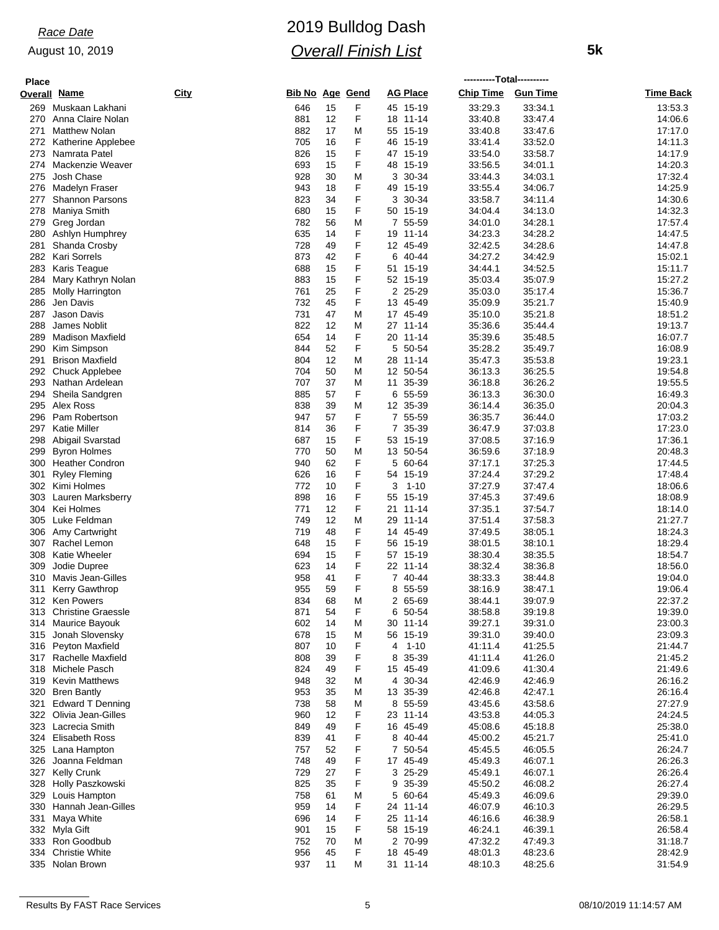## August 10, 2019

# 2019 Bulldog Dash *Overall Finish List*

 **5k**

| <b>Place</b> |                                        |             |          |                        |                             | ----------Total---------- |                    |                    |
|--------------|----------------------------------------|-------------|----------|------------------------|-----------------------------|---------------------------|--------------------|--------------------|
|              | Overall <u>Name</u>                    | <b>City</b> |          | <u>Bib No Age Gend</u> | <b>AG Place</b>             | Chip Time Gun Time        |                    | <b>Time Back</b>   |
| 269          | Muskaan Lakhani                        | 646         | 15       | F                      | 45 15-19                    | 33:29.3                   | 33:34.1            | 13:53.3            |
| 270          | Anna Claire Nolan                      | 881         | 12       | F                      | 18 11-14                    | 33:40.8                   | 33:47.4            | 14:06.6            |
| 271          | <b>Matthew Nolan</b>                   | 882         | 17       | M                      | 55 15-19                    | 33:40.8                   | 33:47.6            | 17:17.0            |
| 272          | Katherine Applebee                     | 705         | 16       | F                      | 46 15-19                    | 33:41.4                   | 33:52.0            | 14:11.3            |
| 273          | Namrata Patel                          | 826         | 15       | F                      | 47 15-19                    | 33:54.0                   | 33:58.7            | 14:17.9            |
| 274          | Mackenzie Weaver                       | 693         | 15       | F                      | 48 15-19                    | 33:56.5                   | 34:01.1            | 14:20.3            |
| 275          | Josh Chase                             | 928         | 30       | Μ                      | 3 30-34                     | 33:44.3                   | 34:03.1            | 17:32.4            |
| 276          | Madelyn Fraser                         | 943         | 18       | F                      | 49 15-19                    | 33:55.4                   | 34:06.7            | 14:25.9            |
| 277          | <b>Shannon Parsons</b><br>Maniya Smith | 823<br>680  | 34       | F<br>F                 | 3 30-34                     | 33:58.7<br>34:04.4        | 34:11.4            | 14:30.6<br>14:32.3 |
| 278<br>279   | Greg Jordan                            | 782         | 15<br>56 | M                      | 50 15-19<br>55-59<br>7      | 34:01.0                   | 34:13.0<br>34:28.1 | 17:57.4            |
| 280          | Ashlyn Humphrey                        | 635         | 14       | F                      | 19<br>11-14                 | 34:23.3                   | 34:28.2            | 14:47.5            |
| 281          | Shanda Crosby                          | 728         | 49       | F                      | 12 45-49                    | 32:42.5                   | 34:28.6            | 14:47.8            |
| 282          | Kari Sorrels                           | 873         | 42       | F                      | 40-44<br>6                  | 34:27.2                   | 34:42.9            | 15:02.1            |
| 283          | Karis Teague                           | 688         | 15       | F                      | 51 15-19                    | 34:44.1                   | 34:52.5            | 15:11.7            |
| 284          | Mary Kathryn Nolan                     | 883         | 15       | F                      | 52 15-19                    | 35:03.4                   | 35:07.9            | 15:27.2            |
| 285          | Molly Harrington                       | 761         | 25       | F                      | 2 25-29                     | 35:03.0                   | 35:17.4            | 15:36.7            |
| 286          | Jen Davis                              | 732         | 45       | F                      | 13 45-49                    | 35:09.9                   | 35:21.7            | 15:40.9            |
| 287          | Jason Davis                            | 731         | 47       | Μ                      | 17 45-49                    | 35:10.0                   | 35:21.8            | 18:51.2            |
| 288          | James Noblit                           | 822         | 12       | Μ                      | 27 11-14                    | 35:36.6                   | 35:44.4            | 19:13.7            |
| 289          | <b>Madison Maxfield</b>                | 654         | 14       | F                      | 20 11-14                    | 35:39.6                   | 35:48.5            | 16:07.7            |
| 290          | Kim Simpson                            | 844         | 52       | F                      | 50-54<br>5                  | 35:28.2                   | 35:49.7            | 16:08.9            |
| 291          | <b>Brison Maxfield</b>                 | 804         | 12       | M                      | 28 11-14                    | 35:47.3                   | 35:53.8            | 19:23.1            |
| 292          | Chuck Applebee                         | 704         | 50       | Μ                      | 12 50-54                    | 36:13.3                   | 36:25.5            | 19:54.8            |
| 293          | Nathan Ardelean                        | 707         | 37       | Μ                      | 11<br>35-39                 | 36:18.8                   | 36:26.2            | 19:55.5            |
| 294          | Sheila Sandgren                        | 885         | 57       | F                      | 6 55-59                     | 36:13.3                   | 36:30.0            | 16:49.3            |
| 295          | Alex Ross                              | 838         | 39       | Μ                      | 12 35-39                    | 36:14.4                   | 36:35.0            | 20:04.3            |
| 296          | Pam Robertson                          | 947         | 57       | F                      | 7 55-59                     | 36:35.7                   | 36:44.0            | 17:03.2            |
| 297          | Katie Miller                           | 814         | 36       | F                      | 7 35-39                     | 36:47.9                   | 37:03.8            | 17:23.0            |
| 298          | Abigail Svarstad                       | 687         | 15       | F                      | 53<br>15-19                 | 37:08.5                   | 37:16.9            | 17:36.1            |
| 299          | <b>Byron Holmes</b>                    | 770         | 50       | Μ                      | 13 50-54                    | 36:59.6                   | 37:18.9            | 20:48.3            |
|              | 300 Heather Condron                    | 940         | 62       | F                      | 5<br>60-64                  | 37:17.1                   | 37:25.3            | 17:44.5            |
| 301          | <b>Ryley Fleming</b>                   | 626         | 16       | F                      | 54 15-19                    | 37:24.4                   | 37:29.2            | 17:48.4            |
|              | 302 Kimi Holmes                        | 772         | 10       | F                      | 3<br>$1 - 10$               | 37:27.9                   | 37.47.4            | 18:06.6            |
| 303          | Lauren Marksberry<br>304 Kei Holmes    | 898<br>771  | 16<br>12 | F<br>F                 | 55 15-19<br>21<br>$11 - 14$ | 37:45.3<br>37:35.1        | 37:49.6<br>37:54.7 | 18:08.9<br>18:14.0 |
|              | 305 Luke Feldman                       | 749         | 12       | Μ                      | 29 11-14                    | 37:51.4                   | 37:58.3            | 21:27.7            |
| 306          | Amy Cartwright                         | 719         | 48       | F                      | 14 45-49                    | 37:49.5                   | 38:05.1            | 18:24.3            |
|              | 307 Rachel Lemon                       | 648         | 15       | F                      | 56 15-19                    | 38:01.5                   | 38:10.1            | 18:29.4            |
| 308          | <b>Katie Wheeler</b>                   | 694         | 15       | F                      | 57 15-19                    | 38:30.4                   | 38:35.5            | 18:54.7            |
| 309          | Jodie Dupree                           | 623         | 14       | F                      | 22 11-14                    | 38:32.4                   | 38:36.8            | 18:56.0            |
| 310          | Mavis Jean-Gilles                      | 958         | 41       | F                      | 7 40-44                     | 38:33.3                   | 38:44.8            | 19:04.0            |
| 311          | <b>Kerry Gawthrop</b>                  | 955         | 59       | F                      | 8<br>55-59                  | 38:16.9                   | 38:47.1            | 19:06.4            |
|              | 312 Ken Powers                         | 834         | 68       | M                      | 2 65-69                     | 38:44.1                   | 39:07.9            | 22:37.2            |
|              | 313 Christine Graessle                 | 871         | 54       | F                      | 6 50-54                     | 38:58.8                   | 39:19.8            | 19:39.0            |
|              | 314 Maurice Bayouk                     | 602         | 14       | Μ                      | 30 11-14                    | 39:27.1                   | 39:31.0            | 23:00.3            |
| 315          | Jonah Slovensky                        | 678         | 15       | M                      | 56 15-19                    | 39:31.0                   | 39:40.0            | 23:09.3            |
|              | 316 Peyton Maxfield                    | 807         | 10       | F                      | 1-10<br>4                   | 41:11.4                   | 41:25.5            | 21:44.7            |
|              | 317 Rachelle Maxfield                  | 808         | 39       | F                      | 35-39<br>8                  | 41:11.4                   | 41:26.0            | 21:45.2            |
|              | 318 Michele Pasch                      | 824         | 49       | F                      | 15 45-49                    | 41:09.6                   | 41:30.4            | 21:49.6            |
|              | 319 Kevin Matthews                     | 948         | 32       | Μ                      | 4 30-34                     | 42:46.9                   | 42:46.9            | 26:16.2            |
|              | 320 Bren Bantly                        | 953         | 35       | M                      | 13 35-39                    | 42:46.8                   | 42:47.1            | 26:16.4            |
| 321          | <b>Edward T Denning</b>                | 738         | 58       | Μ                      | 8 55-59                     | 43:45.6                   | 43:58.6            | 27:27.9            |
|              | 322 Olivia Jean-Gilles                 | 960         | 12       | F                      | 23 11-14                    | 43:53.8                   | 44:05.3            | 24:24.5            |
|              | 323 Lacrecia Smith                     | 849         | 49       | F                      | 16 45-49                    | 45:08.6                   | 45:18.8            | 25:38.0            |
|              | 324 Elisabeth Ross                     | 839         | 41       | F                      | 8 40-44                     | 45:00.2                   | 45:21.7            | 25:41.0            |
|              | 325 Lana Hampton                       | 757         | 52       | F                      | 50-54<br>7                  | 45:45.5                   | 46:05.5            | 26:24.7            |
|              | 326 Joanna Feldman                     | 748         | 49       | F                      | 17 45-49                    | 45:49.3                   | 46:07.1            | 26:26.3            |
|              | 327 Kelly Crunk                        | 729         | 27<br>35 | F<br>F                 | 3 25-29<br>9                | 45:49.1                   | 46:07.1            | 26:26.4<br>26:27.4 |
| 329          | 328 Holly Paszkowski<br>Louis Hampton  | 825<br>758  | 61       | M                      | 35-39<br>5 60-64            | 45:50.2<br>45:49.3        | 46:08.2<br>46:09.6 | 29:39.0            |
|              | 330 Hannah Jean-Gilles                 | 959         | 14       | F                      | 24 11-14                    | 46:07.9                   | 46:10.3            | 26:29.5            |
| 331          | Maya White                             | 696         | 14       | F                      | 25 11-14                    | 46:16.6                   | 46:38.9            | 26:58.1            |
|              | 332 Myla Gift                          | 901         | 15       | F                      | 58 15-19                    | 46:24.1                   | 46:39.1            | 26:58.4            |
|              | 333 Ron Goodbub                        | 752         | 70       | Μ                      | 2 70-99                     | 47:32.2                   | 47:49.3            | 31:18.7            |
|              | 334 Christie White                     | 956         | 45       | F                      | 18 45-49                    | 48:01.3                   | 48:23.6            | 28:42.9            |
|              | 335 Nolan Brown                        | 937         | 11       | М                      | 31 11-14                    | 48:10.3                   | 48:25.6            | 31:54.9            |
|              |                                        |             |          |                        |                             |                           |                    |                    |